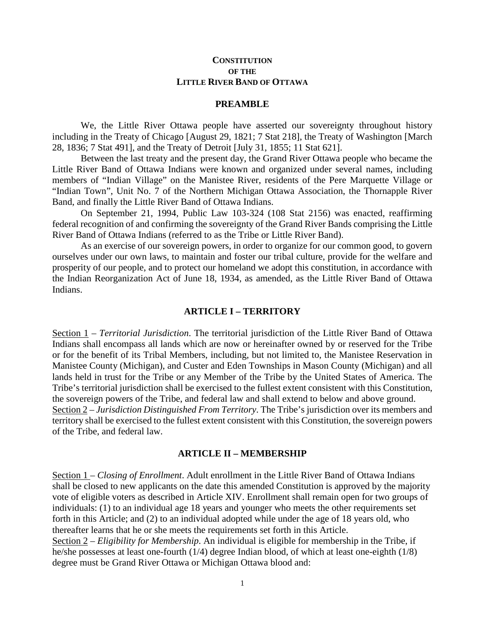## **CONSTITUTION OF THE LITTLE RIVER BAND OF OTTAWA**

#### **PREAMBLE**

We, the Little River Ottawa people have asserted our sovereignty throughout history including in the Treaty of Chicago [August 29, 1821; 7 Stat 218], the Treaty of Washington [March 28, 1836; 7 Stat 491], and the Treaty of Detroit [July 31, 1855; 11 Stat 621].

Between the last treaty and the present day, the Grand River Ottawa people who became the Little River Band of Ottawa Indians were known and organized under several names, including members of "Indian Village" on the Manistee River, residents of the Pere Marquette Village or "Indian Town", Unit No. 7 of the Northern Michigan Ottawa Association, the Thornapple River Band, and finally the Little River Band of Ottawa Indians.

On September 21, 1994, Public Law 103-324 (108 Stat 2156) was enacted, reaffirming federal recognition of and confirming the sovereignty of the Grand River Bands comprising the Little River Band of Ottawa Indians (referred to as the Tribe or Little River Band).

As an exercise of our sovereign powers, in order to organize for our common good, to govern ourselves under our own laws, to maintain and foster our tribal culture, provide for the welfare and prosperity of our people, and to protect our homeland we adopt this constitution, in accordance with the Indian Reorganization Act of June 18, 1934, as amended, as the Little River Band of Ottawa Indians.

### **ARTICLE I – TERRITORY**

Section 1 – *Territorial Jurisdiction*. The territorial jurisdiction of the Little River Band of Ottawa Indians shall encompass all lands which are now or hereinafter owned by or reserved for the Tribe or for the benefit of its Tribal Members, including, but not limited to, the Manistee Reservation in Manistee County (Michigan), and Custer and Eden Townships in Mason County (Michigan) and all lands held in trust for the Tribe or any Member of the Tribe by the United States of America. The Tribe's territorial jurisdiction shall be exercised to the fullest extent consistent with this Constitution, the sovereign powers of the Tribe, and federal law and shall extend to below and above ground. Section 2 – *Jurisdiction Distinguished From Territory*. The Tribe's jurisdiction over its members and territory shall be exercised to the fullest extent consistent with this Constitution, the sovereign powers of the Tribe, and federal law.

#### **ARTICLE II – MEMBERSHIP**

Section 1 – *Closing of Enrollment*. Adult enrollment in the Little River Band of Ottawa Indians shall be closed to new applicants on the date this amended Constitution is approved by the majority vote of eligible voters as described in Article XIV. Enrollment shall remain open for two groups of individuals: (1) to an individual age 18 years and younger who meets the other requirements set forth in this Article; and (2) to an individual adopted while under the age of 18 years old, who thereafter learns that he or she meets the requirements set forth in this Article. Section 2 – *Eligibility for Membership*. An individual is eligible for membership in the Tribe, if he/she possesses at least one-fourth (1/4) degree Indian blood, of which at least one-eighth (1/8)

degree must be Grand River Ottawa or Michigan Ottawa blood and: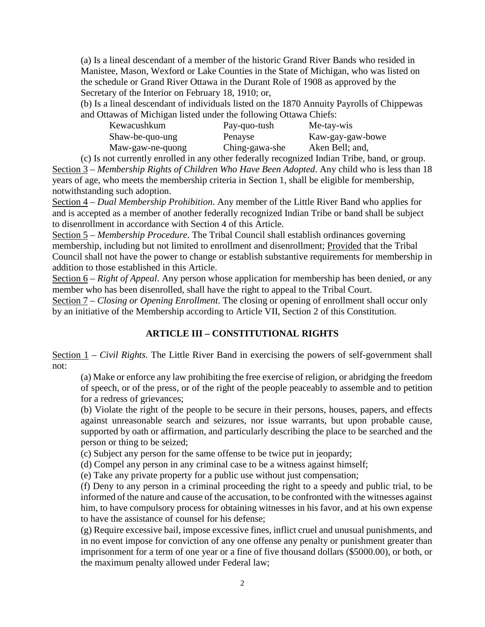(a) Is a lineal descendant of a member of the historic Grand River Bands who resided in Manistee, Mason, Wexford or Lake Counties in the State of Michigan, who was listed on the schedule or Grand River Ottawa in the Durant Role of 1908 as approved by the Secretary of the Interior on February 18, 1910; or,

(b) Is a lineal descendant of individuals listed on the 1870 Annuity Payrolls of Chippewas and Ottawas of Michigan listed under the following Ottawa Chiefs:

| Kewacushkum      | Pay-quo-tush   | Me-tay-wis       |
|------------------|----------------|------------------|
| Shaw-be-quo-ung  | Penayse        | Kaw-gay-gaw-bowe |
| Maw-gaw-ne-quong | Ching-gawa-she | Aken Bell; and,  |

(c) Is not currently enrolled in any other federally recognized Indian Tribe, band, or group. Section 3 – *Membership Rights of Children Who Have Been Adopted*. Any child who is less than 18 years of age, who meets the membership criteria in Section 1, shall be eligible for membership, notwithstanding such adoption.

Section 4 – *Dual Membership Prohibition*. Any member of the Little River Band who applies for and is accepted as a member of another federally recognized Indian Tribe or band shall be subject to disenrollment in accordance with Section 4 of this Article.

Section 5 – *Membership Procedure*. The Tribal Council shall establish ordinances governing membership, including but not limited to enrollment and disenrollment; Provided that the Tribal Council shall not have the power to change or establish substantive requirements for membership in addition to those established in this Article.

Section 6 – *Right of Appeal*. Any person whose application for membership has been denied, or any member who has been disenrolled, shall have the right to appeal to the Tribal Court.

Section 7 – *Closing or Opening Enrollment*. The closing or opening of enrollment shall occur only by an initiative of the Membership according to Article VII, Section 2 of this Constitution.

# **ARTICLE III – CONSTITUTIONAL RIGHTS**

Section 1 – *Civil Rights*. The Little River Band in exercising the powers of self-government shall not:

(a) Make or enforce any law prohibiting the free exercise of religion, or abridging the freedom of speech, or of the press, or of the right of the people peaceably to assemble and to petition for a redress of grievances;

(b) Violate the right of the people to be secure in their persons, houses, papers, and effects against unreasonable search and seizures, nor issue warrants, but upon probable cause, supported by oath or affirmation, and particularly describing the place to be searched and the person or thing to be seized;

(c) Subject any person for the same offense to be twice put in jeopardy;

(d) Compel any person in any criminal case to be a witness against himself;

(e) Take any private property for a public use without just compensation;

(f) Deny to any person in a criminal proceeding the right to a speedy and public trial, to be informed of the nature and cause of the accusation, to be confronted with the witnesses against him, to have compulsory process for obtaining witnesses in his favor, and at his own expense to have the assistance of counsel for his defense;

(g) Require excessive bail, impose excessive fines, inflict cruel and unusual punishments, and in no event impose for conviction of any one offense any penalty or punishment greater than imprisonment for a term of one year or a fine of five thousand dollars (\$5000.00), or both, or the maximum penalty allowed under Federal law;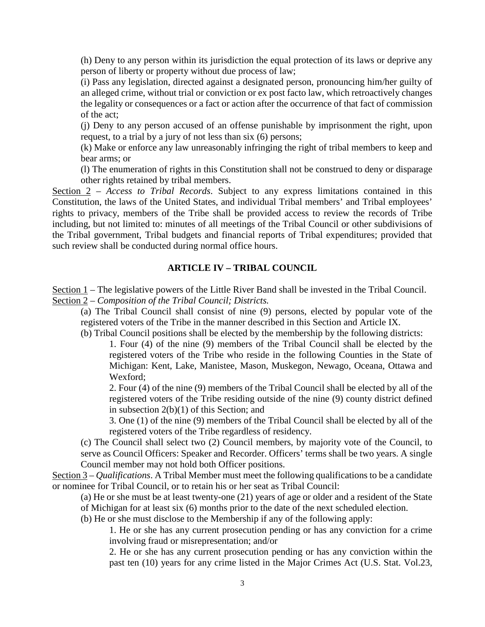(h) Deny to any person within its jurisdiction the equal protection of its laws or deprive any person of liberty or property without due process of law;

(i) Pass any legislation, directed against a designated person, pronouncing him/her guilty of an alleged crime, without trial or conviction or ex post facto law, which retroactively changes the legality or consequences or a fact or action after the occurrence of that fact of commission of the act;

(j) Deny to any person accused of an offense punishable by imprisonment the right, upon request, to a trial by a jury of not less than six (6) persons;

(k) Make or enforce any law unreasonably infringing the right of tribal members to keep and bear arms; or

(l) The enumeration of rights in this Constitution shall not be construed to deny or disparage other rights retained by tribal members.

Section 2 – *Access to Tribal Records*. Subject to any express limitations contained in this Constitution, the laws of the United States, and individual Tribal members' and Tribal employees' rights to privacy, members of the Tribe shall be provided access to review the records of Tribe including, but not limited to: minutes of all meetings of the Tribal Council or other subdivisions of the Tribal government, Tribal budgets and financial reports of Tribal expenditures; provided that such review shall be conducted during normal office hours.

### **ARTICLE IV – TRIBAL COUNCIL**

Section  $1$  – The legislative powers of the Little River Band shall be invested in the Tribal Council. Section 2 – *Composition of the Tribal Council; Districts.*

(a) The Tribal Council shall consist of nine (9) persons, elected by popular vote of the registered voters of the Tribe in the manner described in this Section and Article IX.

(b) Tribal Council positions shall be elected by the membership by the following districts:

1. Four (4) of the nine (9) members of the Tribal Council shall be elected by the registered voters of the Tribe who reside in the following Counties in the State of Michigan: Kent, Lake, Manistee, Mason, Muskegon, Newago, Oceana, Ottawa and Wexford;

2. Four (4) of the nine (9) members of the Tribal Council shall be elected by all of the registered voters of the Tribe residing outside of the nine (9) county district defined in subsection 2(b)(1) of this Section; and

3. One (1) of the nine (9) members of the Tribal Council shall be elected by all of the registered voters of the Tribe regardless of residency.

(c) The Council shall select two (2) Council members, by majority vote of the Council, to serve as Council Officers: Speaker and Recorder. Officers' terms shall be two years. A single Council member may not hold both Officer positions.

Section 3 – *Qualifications*. A Tribal Member must meet the following qualifications to be a candidate or nominee for Tribal Council, or to retain his or her seat as Tribal Council:

(a) He or she must be at least twenty-one (21) years of age or older and a resident of the State of Michigan for at least six (6) months prior to the date of the next scheduled election.

(b) He or she must disclose to the Membership if any of the following apply:

1. He or she has any current prosecution pending or has any conviction for a crime involving fraud or misrepresentation; and/or

2. He or she has any current prosecution pending or has any conviction within the past ten (10) years for any crime listed in the Major Crimes Act (U.S. Stat. Vol.23,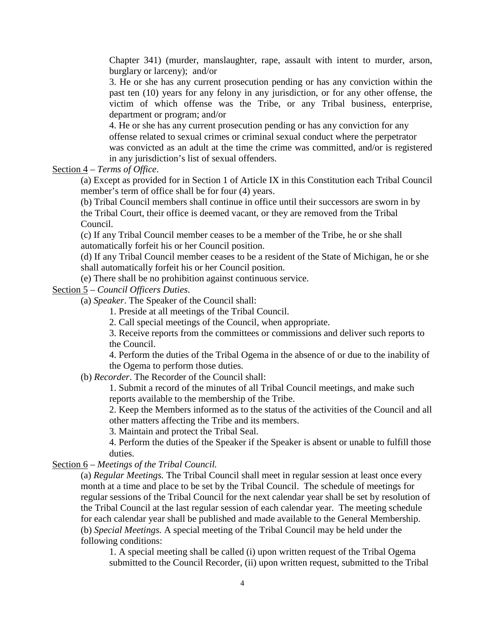Chapter 341) (murder, manslaughter, rape, assault with intent to murder, arson, burglary or larceny); and/or

3. He or she has any current prosecution pending or has any conviction within the past ten (10) years for any felony in any jurisdiction, or for any other offense, the victim of which offense was the Tribe, or any Tribal business, enterprise, department or program; and/or

4. He or she has any current prosecution pending or has any conviction for any offense related to sexual crimes or criminal sexual conduct where the perpetrator was convicted as an adult at the time the crime was committed, and/or is registered in any jurisdiction's list of sexual offenders.

Section 4 – *Terms of Office*.

(a) Except as provided for in Section 1 of Article IX in this Constitution each Tribal Council member's term of office shall be for four (4) years.

(b) Tribal Council members shall continue in office until their successors are sworn in by the Tribal Court, their office is deemed vacant, or they are removed from the Tribal Council.

(c) If any Tribal Council member ceases to be a member of the Tribe, he or she shall automatically forfeit his or her Council position.

(d) If any Tribal Council member ceases to be a resident of the State of Michigan, he or she shall automatically forfeit his or her Council position.

(e) There shall be no prohibition against continuous service.

Section 5 – *Council Officers Duties*.

(a) *Speaker*. The Speaker of the Council shall:

1. Preside at all meetings of the Tribal Council.

2. Call special meetings of the Council, when appropriate.

3. Receive reports from the committees or commissions and deliver such reports to the Council.

4. Perform the duties of the Tribal Ogema in the absence of or due to the inability of the Ogema to perform those duties.

(b) *Recorder*. The Recorder of the Council shall:

1. Submit a record of the minutes of all Tribal Council meetings, and make such reports available to the membership of the Tribe.

2. Keep the Members informed as to the status of the activities of the Council and all other matters affecting the Tribe and its members.

3. Maintain and protect the Tribal Seal.

4. Perform the duties of the Speaker if the Speaker is absent or unable to fulfill those duties.

Section 6 – *Meetings of the Tribal Council.*

(a) *Regular Meetings.* The Tribal Council shall meet in regular session at least once every month at a time and place to be set by the Tribal Council. The schedule of meetings for regular sessions of the Tribal Council for the next calendar year shall be set by resolution of the Tribal Council at the last regular session of each calendar year. The meeting schedule for each calendar year shall be published and made available to the General Membership. (b) *Special Meetings.* A special meeting of the Tribal Council may be held under the following conditions:

1. A special meeting shall be called (i) upon written request of the Tribal Ogema submitted to the Council Recorder, (ii) upon written request, submitted to the Tribal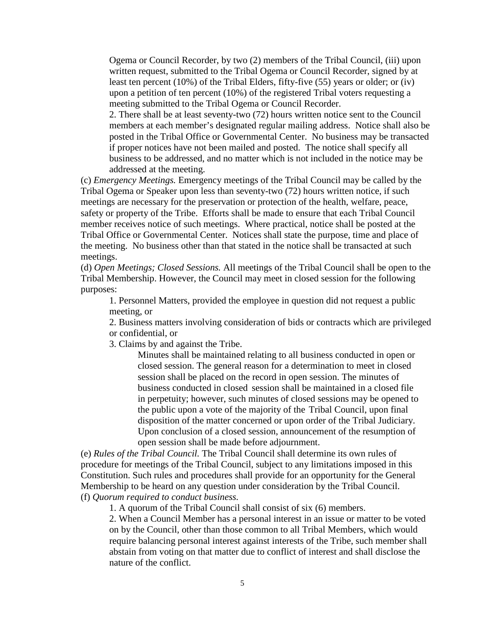Ogema or Council Recorder, by two (2) members of the Tribal Council, (iii) upon written request, submitted to the Tribal Ogema or Council Recorder, signed by at least ten percent (10%) of the Tribal Elders, fifty-five (55) years or older; or (iv) upon a petition of ten percent (10%) of the registered Tribal voters requesting a meeting submitted to the Tribal Ogema or Council Recorder.

2. There shall be at least seventy-two (72) hours written notice sent to the Council members at each member's designated regular mailing address. Notice shall also be posted in the Tribal Office or Governmental Center. No business may be transacted if proper notices have not been mailed and posted. The notice shall specify all business to be addressed, and no matter which is not included in the notice may be addressed at the meeting.

(c) *Emergency Meetings.* Emergency meetings of the Tribal Council may be called by the Tribal Ogema or Speaker upon less than seventy-two (72) hours written notice, if such meetings are necessary for the preservation or protection of the health, welfare, peace, safety or property of the Tribe. Efforts shall be made to ensure that each Tribal Council member receives notice of such meetings. Where practical, notice shall be posted at the Tribal Office or Governmental Center. Notices shall state the purpose, time and place of the meeting. No business other than that stated in the notice shall be transacted at such meetings.

(d) *Open Meetings; Closed Sessions.* All meetings of the Tribal Council shall be open to the Tribal Membership. However, the Council may meet in closed session for the following purposes:

1. Personnel Matters, provided the employee in question did not request a public meeting, or

2. Business matters involving consideration of bids or contracts which are privileged or confidential, or

3. Claims by and against the Tribe.

Minutes shall be maintained relating to all business conducted in open or closed session. The general reason for a determination to meet in closed session shall be placed on the record in open session. The minutes of business conducted in closed session shall be maintained in a closed file in perpetuity; however, such minutes of closed sessions may be opened to the public upon a vote of the majority of the Tribal Council, upon final disposition of the matter concerned or upon order of the Tribal Judiciary. Upon conclusion of a closed session, announcement of the resumption of open session shall be made before adjournment.

(e) *Rules of the Tribal Council.* The Tribal Council shall determine its own rules of procedure for meetings of the Tribal Council, subject to any limitations imposed in this Constitution. Such rules and procedures shall provide for an opportunity for the General Membership to be heard on any question under consideration by the Tribal Council. (f) *Quorum required to conduct business.*

1. A quorum of the Tribal Council shall consist of six (6) members.

2. When a Council Member has a personal interest in an issue or matter to be voted on by the Council, other than those common to all Tribal Members, which would require balancing personal interest against interests of the Tribe, such member shall abstain from voting on that matter due to conflict of interest and shall disclose the nature of the conflict.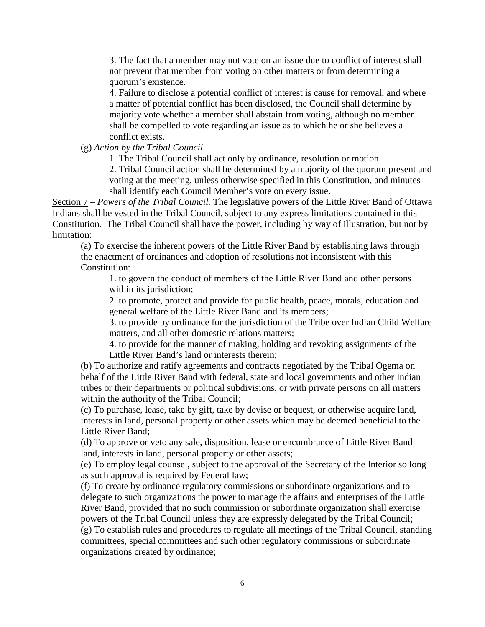3. The fact that a member may not vote on an issue due to conflict of interest shall not prevent that member from voting on other matters or from determining a quorum's existence.

4. Failure to disclose a potential conflict of interest is cause for removal, and where a matter of potential conflict has been disclosed, the Council shall determine by majority vote whether a member shall abstain from voting, although no member shall be compelled to vote regarding an issue as to which he or she believes a conflict exists.

(g) *Action by the Tribal Council.*

1. The Tribal Council shall act only by ordinance, resolution or motion.

2. Tribal Council action shall be determined by a majority of the quorum present and voting at the meeting, unless otherwise specified in this Constitution, and minutes shall identify each Council Member's vote on every issue.

Section 7 – *Powers of the Tribal Council.* The legislative powers of the Little River Band of Ottawa Indians shall be vested in the Tribal Council, subject to any express limitations contained in this Constitution. The Tribal Council shall have the power, including by way of illustration, but not by limitation:

(a) To exercise the inherent powers of the Little River Band by establishing laws through the enactment of ordinances and adoption of resolutions not inconsistent with this Constitution:

1. to govern the conduct of members of the Little River Band and other persons within its jurisdiction;

2. to promote, protect and provide for public health, peace, morals, education and general welfare of the Little River Band and its members;

3. to provide by ordinance for the jurisdiction of the Tribe over Indian Child Welfare matters, and all other domestic relations matters;

4. to provide for the manner of making, holding and revoking assignments of the Little River Band's land or interests therein;

(b) To authorize and ratify agreements and contracts negotiated by the Tribal Ogema on behalf of the Little River Band with federal, state and local governments and other Indian tribes or their departments or political subdivisions, or with private persons on all matters within the authority of the Tribal Council;

(c) To purchase, lease, take by gift, take by devise or bequest, or otherwise acquire land, interests in land, personal property or other assets which may be deemed beneficial to the Little River Band;

(d) To approve or veto any sale, disposition, lease or encumbrance of Little River Band land, interests in land, personal property or other assets;

(e) To employ legal counsel, subject to the approval of the Secretary of the Interior so long as such approval is required by Federal law;

(f) To create by ordinance regulatory commissions or subordinate organizations and to delegate to such organizations the power to manage the affairs and enterprises of the Little River Band, provided that no such commission or subordinate organization shall exercise powers of the Tribal Council unless they are expressly delegated by the Tribal Council; (g) To establish rules and procedures to regulate all meetings of the Tribal Council, standing committees, special committees and such other regulatory commissions or subordinate organizations created by ordinance;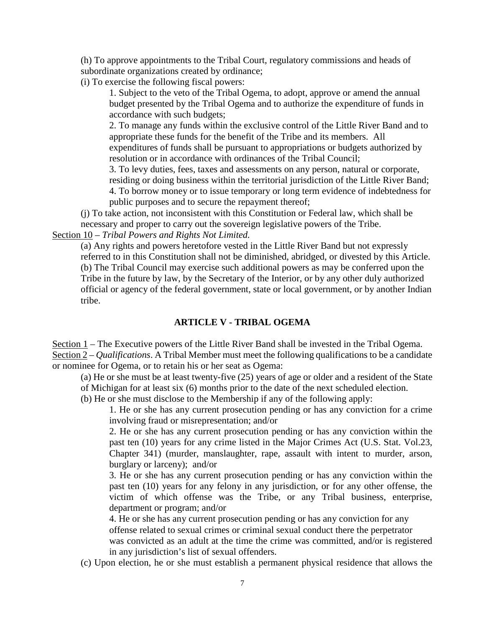(h) To approve appointments to the Tribal Court, regulatory commissions and heads of subordinate organizations created by ordinance;

(i) To exercise the following fiscal powers:

1. Subject to the veto of the Tribal Ogema, to adopt, approve or amend the annual budget presented by the Tribal Ogema and to authorize the expenditure of funds in accordance with such budgets;

2. To manage any funds within the exclusive control of the Little River Band and to appropriate these funds for the benefit of the Tribe and its members. All expenditures of funds shall be pursuant to appropriations or budgets authorized by resolution or in accordance with ordinances of the Tribal Council;

3. To levy duties, fees, taxes and assessments on any person, natural or corporate, residing or doing business within the territorial jurisdiction of the Little River Band; 4. To borrow money or to issue temporary or long term evidence of indebtedness for public purposes and to secure the repayment thereof;

(j) To take action, not inconsistent with this Constitution or Federal law, which shall be necessary and proper to carry out the sovereign legislative powers of the Tribe.

Section 10 – *Tribal Powers and Rights Not Limited.*

(a) Any rights and powers heretofore vested in the Little River Band but not expressly referred to in this Constitution shall not be diminished, abridged, or divested by this Article. (b) The Tribal Council may exercise such additional powers as may be conferred upon the Tribe in the future by law, by the Secretary of the Interior, or by any other duly authorized official or agency of the federal government, state or local government, or by another Indian tribe.

## **ARTICLE V - TRIBAL OGEMA**

Section 1 – The Executive powers of the Little River Band shall be invested in the Tribal Ogema. Section 2 – *Qualifications*. A Tribal Member must meet the following qualifications to be a candidate or nominee for Ogema, or to retain his or her seat as Ogema:

(a) He or she must be at least twenty-five (25) years of age or older and a resident of the State of Michigan for at least six (6) months prior to the date of the next scheduled election.

(b) He or she must disclose to the Membership if any of the following apply:

1. He or she has any current prosecution pending or has any conviction for a crime involving fraud or misrepresentation; and/or

2. He or she has any current prosecution pending or has any conviction within the past ten (10) years for any crime listed in the Major Crimes Act (U.S. Stat. Vol.23, Chapter 341) (murder, manslaughter, rape, assault with intent to murder, arson, burglary or larceny); and/or

3. He or she has any current prosecution pending or has any conviction within the past ten (10) years for any felony in any jurisdiction, or for any other offense, the victim of which offense was the Tribe, or any Tribal business, enterprise, department or program; and/or

4. He or she has any current prosecution pending or has any conviction for any offense related to sexual crimes or criminal sexual conduct there the perpetrator was convicted as an adult at the time the crime was committed, and/or is registered in any jurisdiction's list of sexual offenders.

(c) Upon election, he or she must establish a permanent physical residence that allows the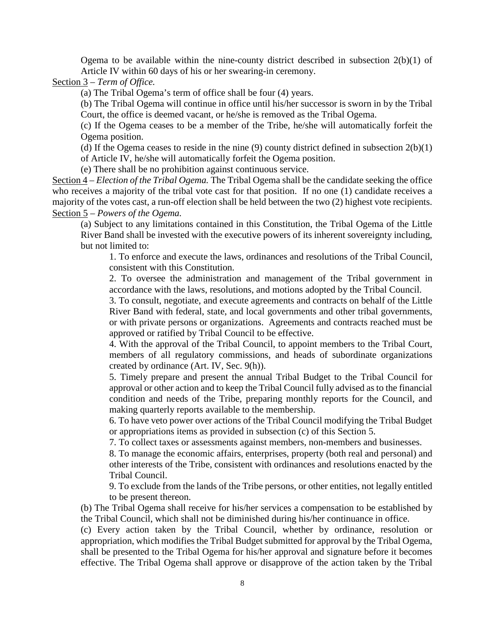Ogema to be available within the nine-county district described in subsection  $2(b)(1)$  of Article IV within 60 days of his or her swearing-in ceremony.

Section 3 – *Term of Office.*

(a) The Tribal Ogema's term of office shall be four (4) years.

(b) The Tribal Ogema will continue in office until his/her successor is sworn in by the Tribal Court, the office is deemed vacant, or he/she is removed as the Tribal Ogema.

(c) If the Ogema ceases to be a member of the Tribe, he/she will automatically forfeit the Ogema position.

(d) If the Ogema ceases to reside in the nine  $(9)$  county district defined in subsection  $2(b)(1)$ of Article IV, he/she will automatically forfeit the Ogema position.

(e) There shall be no prohibition against continuous service.

Section 4 – *Election of the Tribal Ogema.* The Tribal Ogema shall be the candidate seeking the office who receives a majority of the tribal vote cast for that position. If no one (1) candidate receives a majority of the votes cast, a run-off election shall be held between the two (2) highest vote recipients. Section 5 – *Powers of the Ogema.*

(a) Subject to any limitations contained in this Constitution, the Tribal Ogema of the Little River Band shall be invested with the executive powers of its inherent sovereignty including, but not limited to:

1. To enforce and execute the laws, ordinances and resolutions of the Tribal Council, consistent with this Constitution.

2. To oversee the administration and management of the Tribal government in accordance with the laws, resolutions, and motions adopted by the Tribal Council.

3. To consult, negotiate, and execute agreements and contracts on behalf of the Little River Band with federal, state, and local governments and other tribal governments, or with private persons or organizations. Agreements and contracts reached must be approved or ratified by Tribal Council to be effective.

4. With the approval of the Tribal Council, to appoint members to the Tribal Court, members of all regulatory commissions, and heads of subordinate organizations created by ordinance (Art. IV, Sec. 9(h)).

5. Timely prepare and present the annual Tribal Budget to the Tribal Council for approval or other action and to keep the Tribal Council fully advised as to the financial condition and needs of the Tribe, preparing monthly reports for the Council, and making quarterly reports available to the membership.

6. To have veto power over actions of the Tribal Council modifying the Tribal Budget or appropriations items as provided in subsection (c) of this Section 5.

7. To collect taxes or assessments against members, non-members and businesses.

8. To manage the economic affairs, enterprises, property (both real and personal) and other interests of the Tribe, consistent with ordinances and resolutions enacted by the Tribal Council.

9. To exclude from the lands of the Tribe persons, or other entities, not legally entitled to be present thereon.

(b) The Tribal Ogema shall receive for his/her services a compensation to be established by the Tribal Council, which shall not be diminished during his/her continuance in office.

(c) Every action taken by the Tribal Council, whether by ordinance, resolution or appropriation, which modifies the Tribal Budget submitted for approval by the Tribal Ogema, shall be presented to the Tribal Ogema for his/her approval and signature before it becomes effective. The Tribal Ogema shall approve or disapprove of the action taken by the Tribal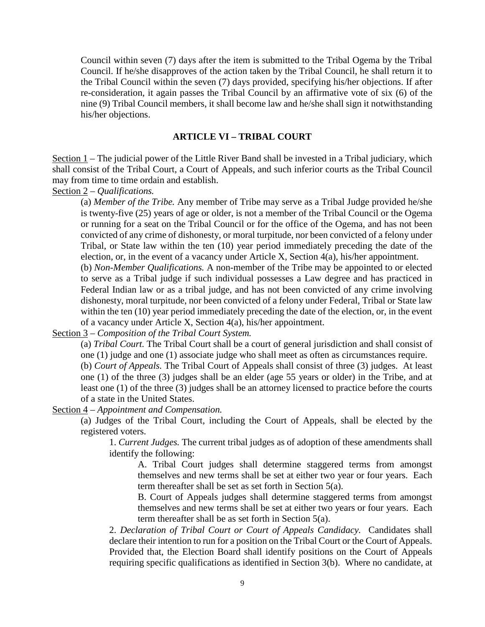Council within seven (7) days after the item is submitted to the Tribal Ogema by the Tribal Council. If he/she disapproves of the action taken by the Tribal Council, he shall return it to the Tribal Council within the seven (7) days provided, specifying his/her objections. If after re-consideration, it again passes the Tribal Council by an affirmative vote of six (6) of the nine (9) Tribal Council members, it shall become law and he/she shall sign it notwithstanding his/her objections.

### **ARTICLE VI – TRIBAL COURT**

Section 1 – The judicial power of the Little River Band shall be invested in a Tribal judiciary, which shall consist of the Tribal Court, a Court of Appeals, and such inferior courts as the Tribal Council may from time to time ordain and establish.

Section 2 – *Qualifications.*

(a) *Member of the Tribe.* Any member of Tribe may serve as a Tribal Judge provided he/she is twenty-five (25) years of age or older, is not a member of the Tribal Council or the Ogema or running for a seat on the Tribal Council or for the office of the Ogema, and has not been convicted of any crime of dishonesty, or moral turpitude, nor been convicted of a felony under Tribal, or State law within the ten (10) year period immediately preceding the date of the election, or, in the event of a vacancy under Article X, Section 4(a), his/her appointment.

(b) *Non-Member Qualifications.* A non-member of the Tribe may be appointed to or elected to serve as a Tribal judge if such individual possesses a Law degree and has practiced in Federal Indian law or as a tribal judge, and has not been convicted of any crime involving dishonesty, moral turpitude, nor been convicted of a felony under Federal, Tribal or State law within the ten (10) year period immediately preceding the date of the election, or, in the event of a vacancy under Article X, Section 4(a), his/her appointment.

Section 3 – *Composition of the Tribal Court System.*

(a) *Tribal Court.* The Tribal Court shall be a court of general jurisdiction and shall consist of one (1) judge and one (1) associate judge who shall meet as often as circumstances require.

(b) *Court of Appeals.* The Tribal Court of Appeals shall consist of three (3) judges. At least one (1) of the three (3) judges shall be an elder (age 55 years or older) in the Tribe, and at least one (1) of the three (3) judges shall be an attorney licensed to practice before the courts of a state in the United States.

Section 4 – *Appointment and Compensation.*

(a) Judges of the Tribal Court, including the Court of Appeals, shall be elected by the registered voters.

1. *Current Judges.* The current tribal judges as of adoption of these amendments shall identify the following:

A. Tribal Court judges shall determine staggered terms from amongst themselves and new terms shall be set at either two year or four years. Each term thereafter shall be set as set forth in Section 5(a).

B. Court of Appeals judges shall determine staggered terms from amongst themselves and new terms shall be set at either two years or four years. Each term thereafter shall be as set forth in Section 5(a).

2. *Declaration of Tribal Court or Court of Appeals Candidacy.* Candidates shall declare their intention to run for a position on the Tribal Court or the Court of Appeals. Provided that, the Election Board shall identify positions on the Court of Appeals requiring specific qualifications as identified in Section 3(b). Where no candidate, at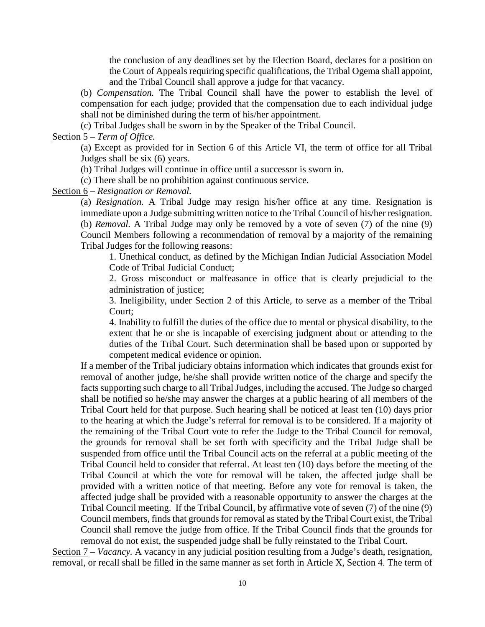the conclusion of any deadlines set by the Election Board, declares for a position on the Court of Appeals requiring specific qualifications, the Tribal Ogema shall appoint, and the Tribal Council shall approve a judge for that vacancy.

(b) *Compensation.* The Tribal Council shall have the power to establish the level of compensation for each judge; provided that the compensation due to each individual judge shall not be diminished during the term of his/her appointment.

(c) Tribal Judges shall be sworn in by the Speaker of the Tribal Council.

Section 5 – *Term of Office.*

(a) Except as provided for in Section 6 of this Article VI, the term of office for all Tribal Judges shall be six (6) years.

(b) Tribal Judges will continue in office until a successor is sworn in.

(c) There shall be no prohibition against continuous service.

Section 6 – *Resignation or Removal.*

(a) *Resignation.* A Tribal Judge may resign his/her office at any time. Resignation is immediate upon a Judge submitting written notice to the Tribal Council of his/her resignation. (b) *Removal.* A Tribal Judge may only be removed by a vote of seven (7) of the nine (9) Council Members following a recommendation of removal by a majority of the remaining Tribal Judges for the following reasons:

1. Unethical conduct, as defined by the Michigan Indian Judicial Association Model Code of Tribal Judicial Conduct;

2. Gross misconduct or malfeasance in office that is clearly prejudicial to the administration of justice;

3. Ineligibility, under Section 2 of this Article, to serve as a member of the Tribal Court;

4. Inability to fulfill the duties of the office due to mental or physical disability, to the extent that he or she is incapable of exercising judgment about or attending to the duties of the Tribal Court. Such determination shall be based upon or supported by competent medical evidence or opinion.

If a member of the Tribal judiciary obtains information which indicates that grounds exist for removal of another judge, he/she shall provide written notice of the charge and specify the facts supporting such charge to all Tribal Judges, including the accused. The Judge so charged shall be notified so he/she may answer the charges at a public hearing of all members of the Tribal Court held for that purpose. Such hearing shall be noticed at least ten (10) days prior to the hearing at which the Judge's referral for removal is to be considered. If a majority of the remaining of the Tribal Court vote to refer the Judge to the Tribal Council for removal, the grounds for removal shall be set forth with specificity and the Tribal Judge shall be suspended from office until the Tribal Council acts on the referral at a public meeting of the Tribal Council held to consider that referral. At least ten (10) days before the meeting of the Tribal Council at which the vote for removal will be taken, the affected judge shall be provided with a written notice of that meeting. Before any vote for removal is taken, the affected judge shall be provided with a reasonable opportunity to answer the charges at the Tribal Council meeting. If the Tribal Council, by affirmative vote of seven (7) of the nine (9) Council members, finds that grounds for removal as stated by the Tribal Court exist, the Tribal Council shall remove the judge from office. If the Tribal Council finds that the grounds for removal do not exist, the suspended judge shall be fully reinstated to the Tribal Court.

Section 7 – *Vacancy.* A vacancy in any judicial position resulting from a Judge's death, resignation, removal, or recall shall be filled in the same manner as set forth in Article X, Section 4. The term of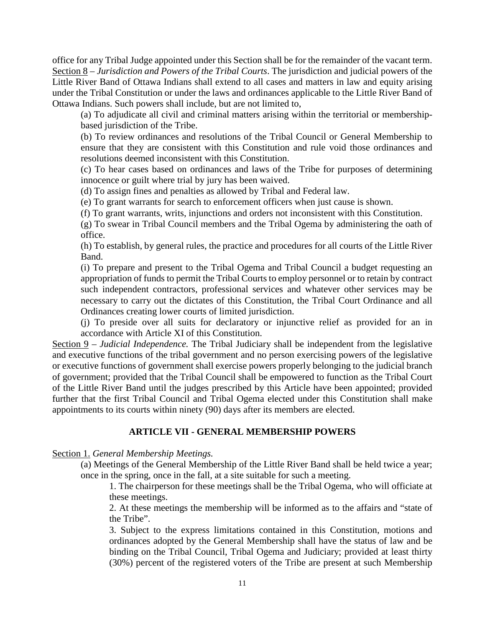office for any Tribal Judge appointed under this Section shall be for the remainder of the vacant term. Section 8 – *Jurisdiction and Powers of the Tribal Courts*. The jurisdiction and judicial powers of the Little River Band of Ottawa Indians shall extend to all cases and matters in law and equity arising under the Tribal Constitution or under the laws and ordinances applicable to the Little River Band of Ottawa Indians. Such powers shall include, but are not limited to,

(a) To adjudicate all civil and criminal matters arising within the territorial or membershipbased jurisdiction of the Tribe.

(b) To review ordinances and resolutions of the Tribal Council or General Membership to ensure that they are consistent with this Constitution and rule void those ordinances and resolutions deemed inconsistent with this Constitution.

(c) To hear cases based on ordinances and laws of the Tribe for purposes of determining innocence or guilt where trial by jury has been waived.

(d) To assign fines and penalties as allowed by Tribal and Federal law.

(e) To grant warrants for search to enforcement officers when just cause is shown.

(f) To grant warrants, writs, injunctions and orders not inconsistent with this Constitution.

(g) To swear in Tribal Council members and the Tribal Ogema by administering the oath of office.

(h) To establish, by general rules, the practice and procedures for all courts of the Little River Band.

(i) To prepare and present to the Tribal Ogema and Tribal Council a budget requesting an appropriation of funds to permit the Tribal Courts to employ personnel or to retain by contract such independent contractors, professional services and whatever other services may be necessary to carry out the dictates of this Constitution, the Tribal Court Ordinance and all Ordinances creating lower courts of limited jurisdiction.

(j) To preside over all suits for declaratory or injunctive relief as provided for an in accordance with Article XI of this Constitution.

Section 9 – *Judicial Independence.* The Tribal Judiciary shall be independent from the legislative and executive functions of the tribal government and no person exercising powers of the legislative or executive functions of government shall exercise powers properly belonging to the judicial branch of government; provided that the Tribal Council shall be empowered to function as the Tribal Court of the Little River Band until the judges prescribed by this Article have been appointed; provided further that the first Tribal Council and Tribal Ogema elected under this Constitution shall make appointments to its courts within ninety (90) days after its members are elected.

## **ARTICLE VII - GENERAL MEMBERSHIP POWERS**

### Section 1. *General Membership Meetings.*

(a) Meetings of the General Membership of the Little River Band shall be held twice a year; once in the spring, once in the fall, at a site suitable for such a meeting.

1. The chairperson for these meetings shall be the Tribal Ogema, who will officiate at these meetings.

2. At these meetings the membership will be informed as to the affairs and "state of the Tribe".

3. Subject to the express limitations contained in this Constitution, motions and ordinances adopted by the General Membership shall have the status of law and be binding on the Tribal Council, Tribal Ogema and Judiciary; provided at least thirty (30%) percent of the registered voters of the Tribe are present at such Membership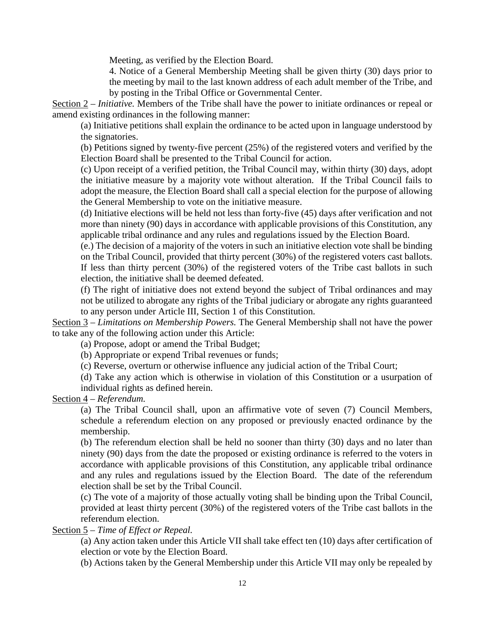Meeting, as verified by the Election Board.

4. Notice of a General Membership Meeting shall be given thirty (30) days prior to the meeting by mail to the last known address of each adult member of the Tribe, and by posting in the Tribal Office or Governmental Center.

Section 2 – *Initiative.* Members of the Tribe shall have the power to initiate ordinances or repeal or amend existing ordinances in the following manner:

(a) Initiative petitions shall explain the ordinance to be acted upon in language understood by the signatories.

(b) Petitions signed by twenty-five percent (25%) of the registered voters and verified by the Election Board shall be presented to the Tribal Council for action.

(c) Upon receipt of a verified petition, the Tribal Council may, within thirty (30) days, adopt the initiative measure by a majority vote without alteration. If the Tribal Council fails to adopt the measure, the Election Board shall call a special election for the purpose of allowing the General Membership to vote on the initiative measure.

(d) Initiative elections will be held not less than forty-five (45) days after verification and not more than ninety (90) days in accordance with applicable provisions of this Constitution, any applicable tribal ordinance and any rules and regulations issued by the Election Board.

(e.) The decision of a majority of the voters in such an initiative election vote shall be binding on the Tribal Council, provided that thirty percent (30%) of the registered voters cast ballots. If less than thirty percent (30%) of the registered voters of the Tribe cast ballots in such election, the initiative shall be deemed defeated.

(f) The right of initiative does not extend beyond the subject of Tribal ordinances and may not be utilized to abrogate any rights of the Tribal judiciary or abrogate any rights guaranteed to any person under Article III, Section 1 of this Constitution.

Section 3 – *Limitations on Membership Powers.* The General Membership shall not have the power to take any of the following action under this Article:

(a) Propose, adopt or amend the Tribal Budget;

(b) Appropriate or expend Tribal revenues or funds;

(c) Reverse, overturn or otherwise influence any judicial action of the Tribal Court;

(d) Take any action which is otherwise in violation of this Constitution or a usurpation of individual rights as defined herein.

Section 4 – *Referendum.*

(a) The Tribal Council shall, upon an affirmative vote of seven (7) Council Members, schedule a referendum election on any proposed or previously enacted ordinance by the membership.

(b) The referendum election shall be held no sooner than thirty (30) days and no later than ninety (90) days from the date the proposed or existing ordinance is referred to the voters in accordance with applicable provisions of this Constitution, any applicable tribal ordinance and any rules and regulations issued by the Election Board. The date of the referendum election shall be set by the Tribal Council.

(c) The vote of a majority of those actually voting shall be binding upon the Tribal Council, provided at least thirty percent (30%) of the registered voters of the Tribe cast ballots in the referendum election.

Section 5 – *Time of Effect or Repeal.*

(a) Any action taken under this Article VII shall take effect ten (10) days after certification of election or vote by the Election Board.

(b) Actions taken by the General Membership under this Article VII may only be repealed by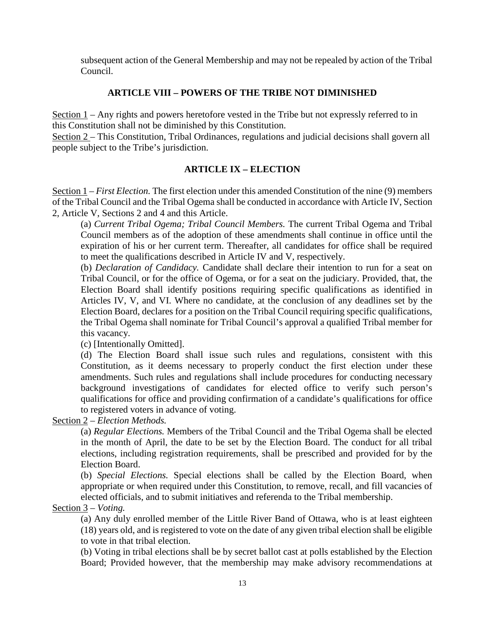subsequent action of the General Membership and may not be repealed by action of the Tribal Council.

## **ARTICLE VIII – POWERS OF THE TRIBE NOT DIMINISHED**

Section 1 – Any rights and powers heretofore vested in the Tribe but not expressly referred to in this Constitution shall not be diminished by this Constitution.

Section 2 – This Constitution, Tribal Ordinances, regulations and judicial decisions shall govern all people subject to the Tribe's jurisdiction.

## **ARTICLE IX – ELECTION**

Section 1 – *First Election.* The first election under this amended Constitution of the nine (9) members of the Tribal Council and the Tribal Ogema shall be conducted in accordance with Article IV, Section 2, Article V, Sections 2 and 4 and this Article.

(a) *Current Tribal Ogema; Tribal Council Members.* The current Tribal Ogema and Tribal Council members as of the adoption of these amendments shall continue in office until the expiration of his or her current term. Thereafter, all candidates for office shall be required to meet the qualifications described in Article IV and V, respectively.

(b) *Declaration of Candidacy.* Candidate shall declare their intention to run for a seat on Tribal Council, or for the office of Ogema, or for a seat on the judiciary. Provided, that, the Election Board shall identify positions requiring specific qualifications as identified in Articles IV, V, and VI. Where no candidate, at the conclusion of any deadlines set by the Election Board, declares for a position on the Tribal Council requiring specific qualifications, the Tribal Ogema shall nominate for Tribal Council's approval a qualified Tribal member for this vacancy.

(c) [Intentionally Omitted].

(d) The Election Board shall issue such rules and regulations, consistent with this Constitution, as it deems necessary to properly conduct the first election under these amendments. Such rules and regulations shall include procedures for conducting necessary background investigations of candidates for elected office to verify such person's qualifications for office and providing confirmation of a candidate's qualifications for office to registered voters in advance of voting.

Section 2 – *Election Methods.*

(a) *Regular Elections.* Members of the Tribal Council and the Tribal Ogema shall be elected in the month of April, the date to be set by the Election Board. The conduct for all tribal elections, including registration requirements, shall be prescribed and provided for by the Election Board.

(b) *Special Elections.* Special elections shall be called by the Election Board, when appropriate or when required under this Constitution, to remove, recall, and fill vacancies of elected officials, and to submit initiatives and referenda to the Tribal membership.

Section 3 – *Voting.*

(a) Any duly enrolled member of the Little River Band of Ottawa, who is at least eighteen (18) years old, and is registered to vote on the date of any given tribal election shall be eligible to vote in that tribal election.

(b) Voting in tribal elections shall be by secret ballot cast at polls established by the Election Board; Provided however, that the membership may make advisory recommendations at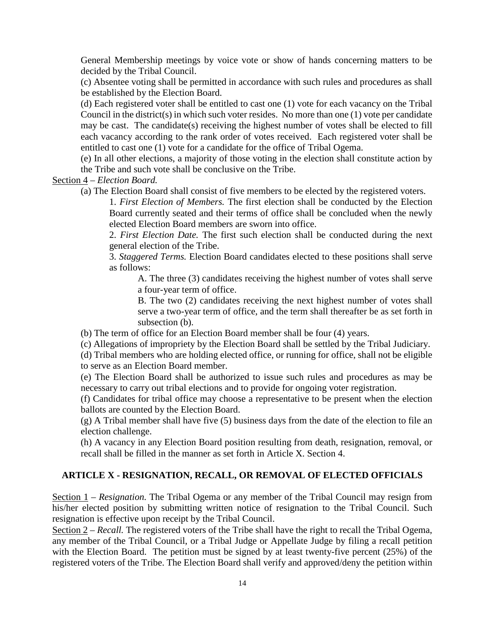General Membership meetings by voice vote or show of hands concerning matters to be decided by the Tribal Council.

(c) Absentee voting shall be permitted in accordance with such rules and procedures as shall be established by the Election Board.

(d) Each registered voter shall be entitled to cast one (1) vote for each vacancy on the Tribal Council in the district(s) in which such voter resides. No more than one (1) vote per candidate may be cast. The candidate(s) receiving the highest number of votes shall be elected to fill each vacancy according to the rank order of votes received. Each registered voter shall be entitled to cast one (1) vote for a candidate for the office of Tribal Ogema.

(e) In all other elections, a majority of those voting in the election shall constitute action by the Tribe and such vote shall be conclusive on the Tribe.

Section 4 – *Election Board.*

(a) The Election Board shall consist of five members to be elected by the registered voters.

1. *First Election of Members.* The first election shall be conducted by the Election Board currently seated and their terms of office shall be concluded when the newly elected Election Board members are sworn into office.

2. *First Election Date.* The first such election shall be conducted during the next general election of the Tribe.

3. *Staggered Terms.* Election Board candidates elected to these positions shall serve as follows:

A. The three (3) candidates receiving the highest number of votes shall serve a four-year term of office.

B. The two (2) candidates receiving the next highest number of votes shall serve a two-year term of office, and the term shall thereafter be as set forth in subsection (b).

(b) The term of office for an Election Board member shall be four (4) years.

(c) Allegations of impropriety by the Election Board shall be settled by the Tribal Judiciary.

(d) Tribal members who are holding elected office, or running for office, shall not be eligible to serve as an Election Board member.

(e) The Election Board shall be authorized to issue such rules and procedures as may be necessary to carry out tribal elections and to provide for ongoing voter registration.

(f) Candidates for tribal office may choose a representative to be present when the election ballots are counted by the Election Board.

(g) A Tribal member shall have five (5) business days from the date of the election to file an election challenge.

(h) A vacancy in any Election Board position resulting from death, resignation, removal, or recall shall be filled in the manner as set forth in Article X. Section 4.

## **ARTICLE X - RESIGNATION, RECALL, OR REMOVAL OF ELECTED OFFICIALS**

Section 1 *– Resignation.* The Tribal Ogema or any member of the Tribal Council may resign from his/her elected position by submitting written notice of resignation to the Tribal Council. Such resignation is effective upon receipt by the Tribal Council.

Section 2 – *Recall*. The registered voters of the Tribe shall have the right to recall the Tribal Ogema, any member of the Tribal Council, or a Tribal Judge or Appellate Judge by filing a recall petition with the Election Board. The petition must be signed by at least twenty-five percent (25%) of the registered voters of the Tribe. The Election Board shall verify and approved/deny the petition within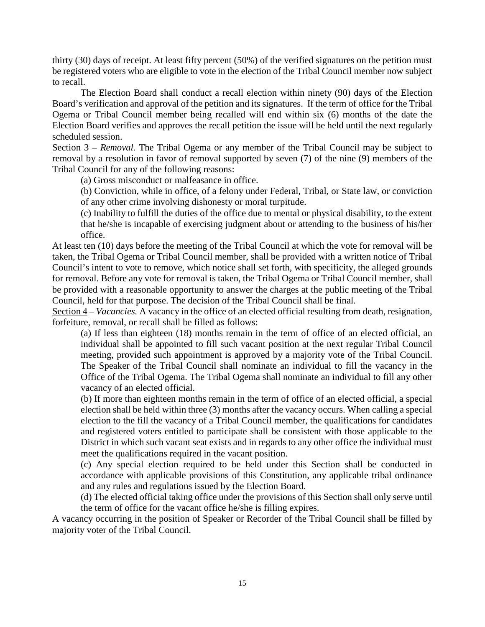thirty (30) days of receipt. At least fifty percent (50%) of the verified signatures on the petition must be registered voters who are eligible to vote in the election of the Tribal Council member now subject to recall.

The Election Board shall conduct a recall election within ninety (90) days of the Election Board's verification and approval of the petition and its signatures. If the term of office for the Tribal Ogema or Tribal Council member being recalled will end within six (6) months of the date the Election Board verifies and approves the recall petition the issue will be held until the next regularly scheduled session.

Section 3 – *Removal.* The Tribal Ogema or any member of the Tribal Council may be subject to removal by a resolution in favor of removal supported by seven (7) of the nine (9) members of the Tribal Council for any of the following reasons:

(a) Gross misconduct or malfeasance in office.

(b) Conviction, while in office, of a felony under Federal, Tribal, or State law, or conviction of any other crime involving dishonesty or moral turpitude.

(c) Inability to fulfill the duties of the office due to mental or physical disability, to the extent that he/she is incapable of exercising judgment about or attending to the business of his/her office.

At least ten (10) days before the meeting of the Tribal Council at which the vote for removal will be taken, the Tribal Ogema or Tribal Council member, shall be provided with a written notice of Tribal Council's intent to vote to remove, which notice shall set forth, with specificity, the alleged grounds for removal. Before any vote for removal is taken, the Tribal Ogema or Tribal Council member, shall be provided with a reasonable opportunity to answer the charges at the public meeting of the Tribal Council, held for that purpose. The decision of the Tribal Council shall be final.

Section  $4 - *Vacancies*$ . A vacancy in the office of an elected official resulting from death, resignation, forfeiture, removal, or recall shall be filled as follows:

(a) If less than eighteen (18) months remain in the term of office of an elected official, an individual shall be appointed to fill such vacant position at the next regular Tribal Council meeting, provided such appointment is approved by a majority vote of the Tribal Council. The Speaker of the Tribal Council shall nominate an individual to fill the vacancy in the Office of the Tribal Ogema. The Tribal Ogema shall nominate an individual to fill any other vacancy of an elected official.

(b) If more than eighteen months remain in the term of office of an elected official, a special election shall be held within three (3) months after the vacancy occurs. When calling a special election to the fill the vacancy of a Tribal Council member, the qualifications for candidates and registered voters entitled to participate shall be consistent with those applicable to the District in which such vacant seat exists and in regards to any other office the individual must meet the qualifications required in the vacant position.

(c) Any special election required to be held under this Section shall be conducted in accordance with applicable provisions of this Constitution, any applicable tribal ordinance and any rules and regulations issued by the Election Board.

(d) The elected official taking office under the provisions of this Section shall only serve until the term of office for the vacant office he/she is filling expires.

A vacancy occurring in the position of Speaker or Recorder of the Tribal Council shall be filled by majority voter of the Tribal Council.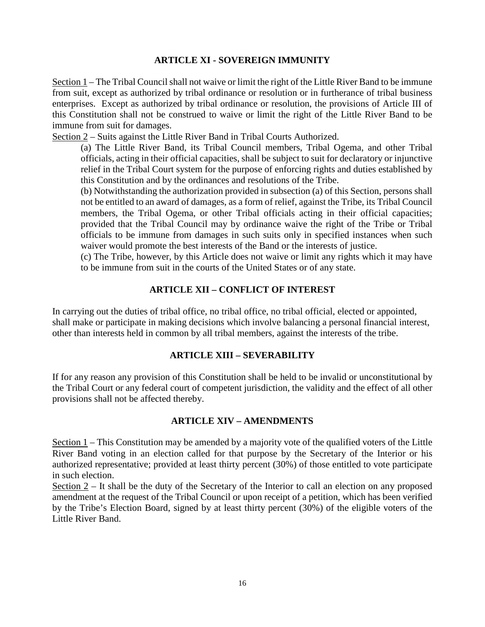## **ARTICLE XI - SOVEREIGN IMMUNITY**

Section 1 – The Tribal Council shall not waive or limit the right of the Little River Band to be immune from suit, except as authorized by tribal ordinance or resolution or in furtherance of tribal business enterprises. Except as authorized by tribal ordinance or resolution, the provisions of Article III of this Constitution shall not be construed to waive or limit the right of the Little River Band to be immune from suit for damages.

Section 2 – Suits against the Little River Band in Tribal Courts Authorized.

(a) The Little River Band, its Tribal Council members, Tribal Ogema, and other Tribal officials, acting in their official capacities, shall be subject to suit for declaratory or injunctive relief in the Tribal Court system for the purpose of enforcing rights and duties established by this Constitution and by the ordinances and resolutions of the Tribe.

(b) Notwithstanding the authorization provided in subsection (a) of this Section, persons shall not be entitled to an award of damages, as a form of relief, against the Tribe, its Tribal Council members, the Tribal Ogema, or other Tribal officials acting in their official capacities; provided that the Tribal Council may by ordinance waive the right of the Tribe or Tribal officials to be immune from damages in such suits only in specified instances when such waiver would promote the best interests of the Band or the interests of justice.

(c) The Tribe, however, by this Article does not waive or limit any rights which it may have to be immune from suit in the courts of the United States or of any state.

## **ARTICLE XII – CONFLICT OF INTEREST**

In carrying out the duties of tribal office, no tribal office, no tribal official, elected or appointed, shall make or participate in making decisions which involve balancing a personal financial interest, other than interests held in common by all tribal members, against the interests of the tribe.

### **ARTICLE XIII – SEVERABILITY**

If for any reason any provision of this Constitution shall be held to be invalid or unconstitutional by the Tribal Court or any federal court of competent jurisdiction, the validity and the effect of all other provisions shall not be affected thereby.

### **ARTICLE XIV – AMENDMENTS**

Section 1 – This Constitution may be amended by a majority vote of the qualified voters of the Little River Band voting in an election called for that purpose by the Secretary of the Interior or his authorized representative; provided at least thirty percent (30%) of those entitled to vote participate in such election.

Section 2 – It shall be the duty of the Secretary of the Interior to call an election on any proposed amendment at the request of the Tribal Council or upon receipt of a petition, which has been verified by the Tribe's Election Board, signed by at least thirty percent (30%) of the eligible voters of the Little River Band.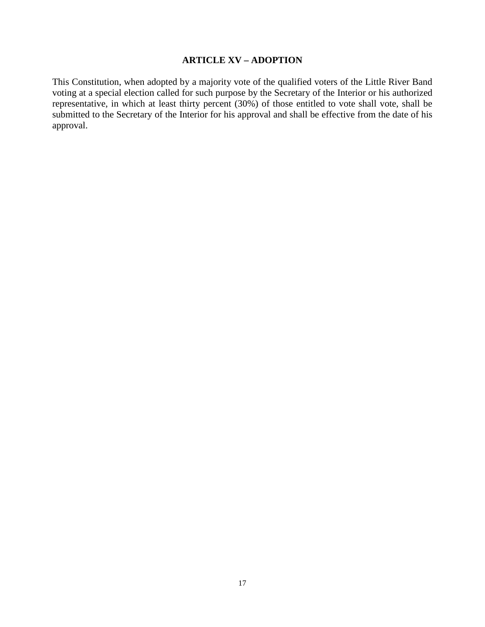## **ARTICLE XV – ADOPTION**

This Constitution, when adopted by a majority vote of the qualified voters of the Little River Band voting at a special election called for such purpose by the Secretary of the Interior or his authorized representative, in which at least thirty percent (30%) of those entitled to vote shall vote, shall be submitted to the Secretary of the Interior for his approval and shall be effective from the date of his approval.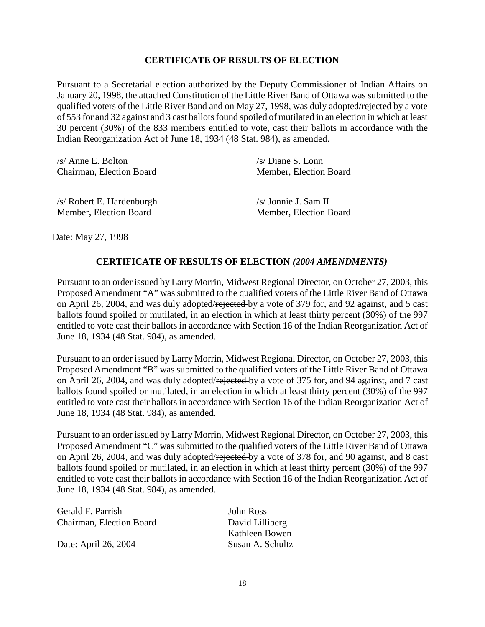## **CERTIFICATE OF RESULTS OF ELECTION**

Pursuant to a Secretarial election authorized by the Deputy Commissioner of Indian Affairs on January 20, 1998, the attached Constitution of the Little River Band of Ottawa was submitted to the qualified voters of the Little River Band and on May 27, 1998, was duly adopted/rejected by a vote of 553 for and 32 against and 3 cast ballots found spoiled of mutilated in an election in which at least 30 percent (30%) of the 833 members entitled to vote, cast their ballots in accordance with the Indian Reorganization Act of June 18, 1934 (48 Stat. 984), as amended.

| $/s/$ Anne E. Bolton      | $/s$ Diane S. Lonn     |
|---------------------------|------------------------|
| Chairman, Election Board  | Member, Election Board |
| /s/ Robert E. Hardenburgh | $/s/$ Jonnie J. Sam II |
| Member, Election Board    | Member, Election Board |

Date: May 27, 1998

### **CERTIFICATE OF RESULTS OF ELECTION** *(2004 AMENDMENTS)*

Pursuant to an order issued by Larry Morrin, Midwest Regional Director, on October 27, 2003, this Proposed Amendment "A" was submitted to the qualified voters of the Little River Band of Ottawa on April 26, 2004, and was duly adopted/rejected by a vote of 379 for, and 92 against, and 5 cast ballots found spoiled or mutilated, in an election in which at least thirty percent (30%) of the 997 entitled to vote cast their ballots in accordance with Section 16 of the Indian Reorganization Act of June 18, 1934 (48 Stat. 984), as amended.

Pursuant to an order issued by Larry Morrin, Midwest Regional Director, on October 27, 2003, this Proposed Amendment "B" was submitted to the qualified voters of the Little River Band of Ottawa on April 26, 2004, and was duly adopted/rejected by a vote of 375 for, and 94 against, and 7 cast ballots found spoiled or mutilated, in an election in which at least thirty percent (30%) of the 997 entitled to vote cast their ballots in accordance with Section 16 of the Indian Reorganization Act of June 18, 1934 (48 Stat. 984), as amended.

Pursuant to an order issued by Larry Morrin, Midwest Regional Director, on October 27, 2003, this Proposed Amendment "C" was submitted to the qualified voters of the Little River Band of Ottawa on April 26, 2004, and was duly adopted/rejected by a vote of 378 for, and 90 against, and 8 cast ballots found spoiled or mutilated, in an election in which at least thirty percent (30%) of the 997 entitled to vote cast their ballots in accordance with Section 16 of the Indian Reorganization Act of June 18, 1934 (48 Stat. 984), as amended.

Gerald F. Parrish John Ross Chairman, Election Board David Lilliberg

Date: April 26, 2004 Susan A. Schultz

Kathleen Bowen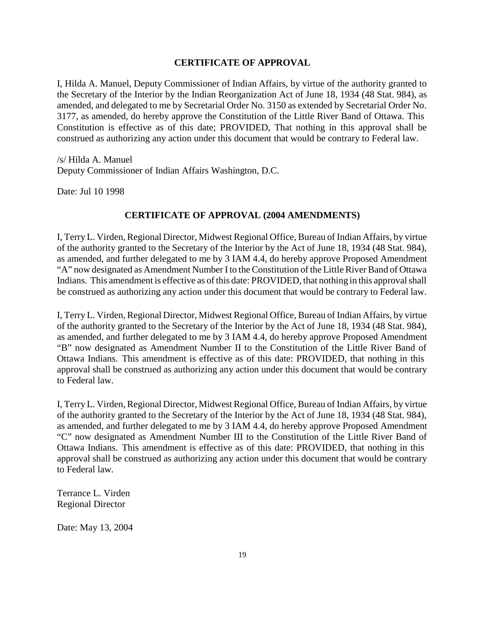#### **CERTIFICATE OF APPROVAL**

I, Hilda A. Manuel, Deputy Commissioner of Indian Affairs, by virtue of the authority granted to the Secretary of the Interior by the Indian Reorganization Act of June 18, 1934 (48 Stat. 984), as amended, and delegated to me by Secretarial Order No. 3150 as extended by Secretarial Order No. 3177, as amended, do hereby approve the Constitution of the Little River Band of Ottawa. This Constitution is effective as of this date; PROVIDED, That nothing in this approval shall be construed as authorizing any action under this document that would be contrary to Federal law.

/s/ Hilda A. Manuel Deputy Commissioner of Indian Affairs Washington, D.C.

Date: Jul 10 1998

### **CERTIFICATE OF APPROVAL (2004 AMENDMENTS)**

I, Terry L. Virden, Regional Director, Midwest Regional Office, Bureau of Indian Affairs, by virtue of the authority granted to the Secretary of the Interior by the Act of June 18, 1934 (48 Stat. 984), as amended, and further delegated to me by 3 IAM 4.4, do hereby approve Proposed Amendment "A" now designated as Amendment Number I to the Constitution of the Little River Band of Ottawa Indians. This amendment is effective as of this date: PROVIDED, that nothing in this approval shall be construed as authorizing any action under this document that would be contrary to Federal law.

I, Terry L. Virden, Regional Director, Midwest Regional Office, Bureau of Indian Affairs, by virtue of the authority granted to the Secretary of the Interior by the Act of June 18, 1934 (48 Stat. 984), as amended, and further delegated to me by 3 IAM 4.4, do hereby approve Proposed Amendment "B" now designated as Amendment Number II to the Constitution of the Little River Band of Ottawa Indians. This amendment is effective as of this date: PROVIDED, that nothing in this approval shall be construed as authorizing any action under this document that would be contrary to Federal law.

I, Terry L. Virden, Regional Director, Midwest Regional Office, Bureau of Indian Affairs, by virtue of the authority granted to the Secretary of the Interior by the Act of June 18, 1934 (48 Stat. 984), as amended, and further delegated to me by 3 IAM 4.4, do hereby approve Proposed Amendment "C" now designated as Amendment Number III to the Constitution of the Little River Band of Ottawa Indians. This amendment is effective as of this date: PROVIDED, that nothing in this approval shall be construed as authorizing any action under this document that would be contrary to Federal law.

Terrance L. Virden Regional Director

Date: May 13, 2004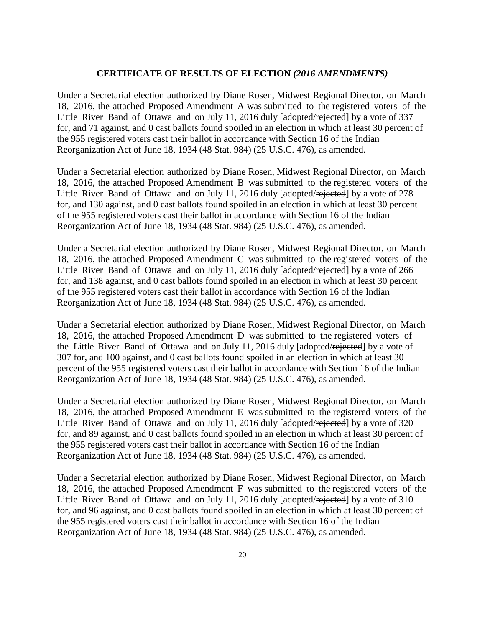### **CERTIFICATE OF RESULTS OF ELECTION** *(2016 AMENDMENTS)*

Under a Secretarial election authorized by Diane Rosen, Midwest Regional Director, on March 18, 2016, the attached Proposed Amendment A was submitted to the registered voters of the Little River Band of Ottawa and on July 11, 2016 duly [adopted/rejected] by a vote of 337 for, and 71 against, and 0 cast ballots found spoiled in an election in which at least 30 percent of the 955 registered voters cast their ballot in accordance with Section 16 of the Indian Reorganization Act of June 18, 1934 (48 Stat. 984) (25 U.S.C. 476), as amended.

Under a Secretarial election authorized by Diane Rosen, Midwest Regional Director, on March 18, 2016, the attached Proposed Amendment B was submitted to the registered voters of the Little River Band of Ottawa and on July 11, 2016 duly [adopted/rejected] by a vote of 278 for, and 130 against, and 0 cast ballots found spoiled in an election in which at least 30 percent of the 955 registered voters cast their ballot in accordance with Section 16 of the Indian Reorganization Act of June 18, 1934 (48 Stat. 984) (25 U.S.C. 476), as amended.

Under a Secretarial election authorized by Diane Rosen, Midwest Regional Director, on March 18, 2016, the attached Proposed Amendment C was submitted to the registered voters of the Little River Band of Ottawa and on July 11, 2016 duly [adopted/rejected] by a vote of 266 for, and 138 against, and 0 cast ballots found spoiled in an election in which at least 30 percent of the 955 registered voters cast their ballot in accordance with Section 16 of the Indian Reorganization Act of June 18, 1934 (48 Stat. 984) (25 U.S.C. 476), as amended.

Under a Secretarial election authorized by Diane Rosen, Midwest Regional Director, on March 18, 2016, the attached Proposed Amendment D was submitted to the registered voters of the Little River Band of Ottawa and on July 11, 2016 duly [adopted/rejected] by a vote of 307 for, and 100 against, and 0 cast ballots found spoiled in an election in which at least 30 percent of the 955 registered voters cast their ballot in accordance with Section 16 of the Indian Reorganization Act of June 18, 1934 (48 Stat. 984) (25 U.S.C. 476), as amended.

Under a Secretarial election authorized by Diane Rosen, Midwest Regional Director, on March 18, 2016, the attached Proposed Amendment E was submitted to the registered voters of the Little River Band of Ottawa and on July 11, 2016 duly [adopted/rejected] by a vote of 320 for, and 89 against, and 0 cast ballots found spoiled in an election in which at least 30 percent of the 955 registered voters cast their ballot in accordance with Section 16 of the Indian Reorganization Act of June 18, 1934 (48 Stat. 984) (25 U.S.C. 476), as amended.

Under a Secretarial election authorized by Diane Rosen, Midwest Regional Director, on March 18, 2016, the attached Proposed Amendment F was submitted to the registered voters of the Little River Band of Ottawa and on July 11, 2016 duly [adopted/rejected] by a vote of 310 for, and 96 against, and 0 cast ballots found spoiled in an election in which at least 30 percent of the 955 registered voters cast their ballot in accordance with Section 16 of the Indian Reorganization Act of June 18, 1934 (48 Stat. 984) (25 U.S.C. 476), as amended.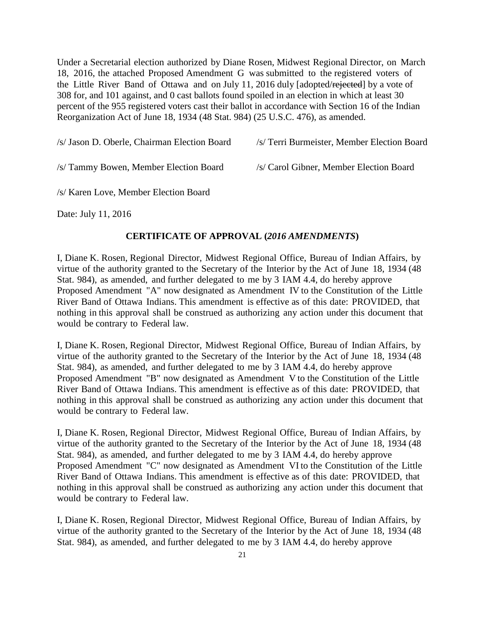Under a Secretarial election authorized by Diane Rosen, Midwest Regional Director, on March 18, 2016, the attached Proposed Amendment G was submitted to the registered voters of the Little River Band of Ottawa and on July 11, 2016 duly [adopted/rejected] by a vote of 308 for, and 101 against, and 0 cast ballots found spoiled in an election in which at least 30 percent of the 955 registered voters cast their ballot in accordance with Section 16 of the Indian Reorganization Act of June 18, 1934 (48 Stat. 984) (25 U.S.C. 476), as amended.

/s/ Tammy Bowen, Member Election Board /s/ Carol Gibner, Member Election Board

/s/ Karen Love, Member Election Board

Date: July 11, 2016

## **CERTIFICATE OF APPROVAL (***2016 AMENDMENTS***)**

I, Diane K. Rosen, Regional Director, Midwest Regional Office, Bureau of Indian Affairs, by virtue of the authority granted to the Secretary of the Interior by the Act of June 18, 1934 (48 Stat. 984), as amended, and further delegated to me by 3 IAM 4.4, do hereby approve Proposed Amendment "A" now designated as Amendment IV to the Constitution of the Little River Band of Ottawa Indians. This amendment is effective as of this date: PROVIDED, that nothing in this approval shall be construed as authorizing any action under this document that would be contrary to Federal law.

I, Diane K. Rosen, Regional Director, Midwest Regional Office, Bureau of Indian Affairs, by virtue of the authority granted to the Secretary of the Interior by the Act of June 18, 1934 (48 Stat. 984), as amended, and further delegated to me by 3 IAM 4.4, do hereby approve Proposed Amendment "B" now designated as Amendment V to the Constitution of the Little River Band of Ottawa Indians. This amendment is effective as of this date: PROVIDED, that nothing in this approval shall be construed as authorizing any action under this document that would be contrary to Federal law.

I, Diane K. Rosen, Regional Director, Midwest Regional Office, Bureau of Indian Affairs, by virtue of the authority granted to the Secretary of the Interior by the Act of June 18, 1934 (48 Stat. 984), as amended, and further delegated to me by 3 IAM 4.4, do hereby approve Proposed Amendment "C" now designated as Amendment VI to the Constitution of the Little River Band of Ottawa Indians. This amendment is effective as of this date: PROVIDED, that nothing in this approval shall be construed as authorizing any action under this document that would be contrary to Federal law.

I, Diane K. Rosen, Regional Director, Midwest Regional Office, Bureau of Indian Affairs, by virtue of the authority granted to the Secretary of the Interior by the Act of June 18, 1934 (48 Stat. 984), as amended, and further delegated to me by 3 IAM 4.4, do hereby approve